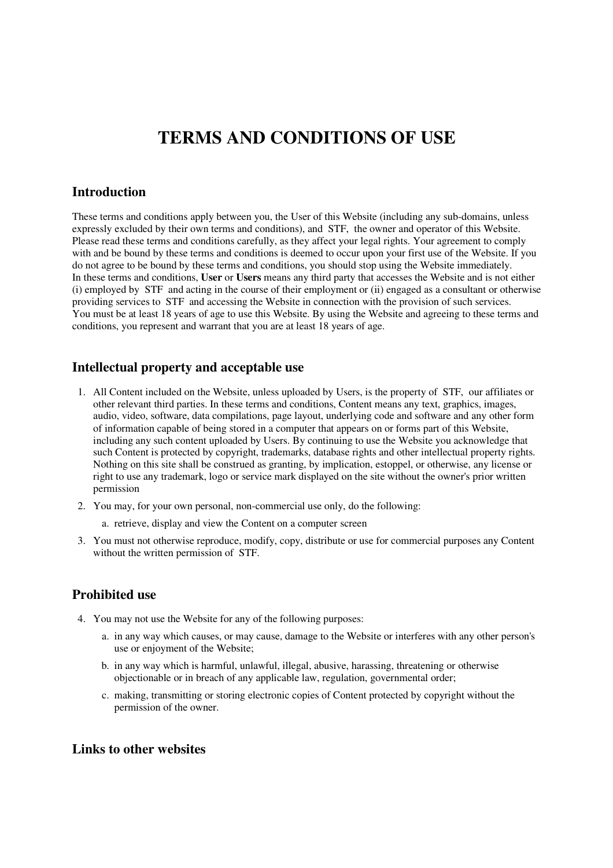# **TERMS AND CONDITIONS OF USE**

## **Introduction**

These terms and conditions apply between you, the User of this Website (including any sub-domains, unless expressly excluded by their own terms and conditions), and STF, the owner and operator of this Website. Please read these terms and conditions carefully, as they affect your legal rights. Your agreement to comply with and be bound by these terms and conditions is deemed to occur upon your first use of the Website. If you do not agree to be bound by these terms and conditions, you should stop using the Website immediately. In these terms and conditions, **User** or **Users** means any third party that accesses the Website and is not either (i) employed by STF and acting in the course of their employment or (ii) engaged as a consultant or otherwise providing services to STF and accessing the Website in connection with the provision of such services. You must be at least 18 years of age to use this Website. By using the Website and agreeing to these terms and conditions, you represent and warrant that you are at least 18 years of age.

#### **Intellectual property and acceptable use**

- 1. All Content included on the Website, unless uploaded by Users, is the property of STF, our affiliates or other relevant third parties. In these terms and conditions, Content means any text, graphics, images, audio, video, software, data compilations, page layout, underlying code and software and any other form of information capable of being stored in a computer that appears on or forms part of this Website, including any such content uploaded by Users. By continuing to use the Website you acknowledge that such Content is protected by copyright, trademarks, database rights and other intellectual property rights. Nothing on this site shall be construed as granting, by implication, estoppel, or otherwise, any license or right to use any trademark, logo or service mark displayed on the site without the owner's prior written permission
- 2. You may, for your own personal, non-commercial use only, do the following:
	- a. retrieve, display and view the Content on a computer screen
- 3. You must not otherwise reproduce, modify, copy, distribute or use for commercial purposes any Content without the written permission of STF.

## **Prohibited use**

- 4. You may not use the Website for any of the following purposes:
	- a. in any way which causes, or may cause, damage to the Website or interferes with any other person's use or enjoyment of the Website;
	- b. in any way which is harmful, unlawful, illegal, abusive, harassing, threatening or otherwise objectionable or in breach of any applicable law, regulation, governmental order;
	- c. making, transmitting or storing electronic copies of Content protected by copyright without the permission of the owner.

#### **Links to other websites**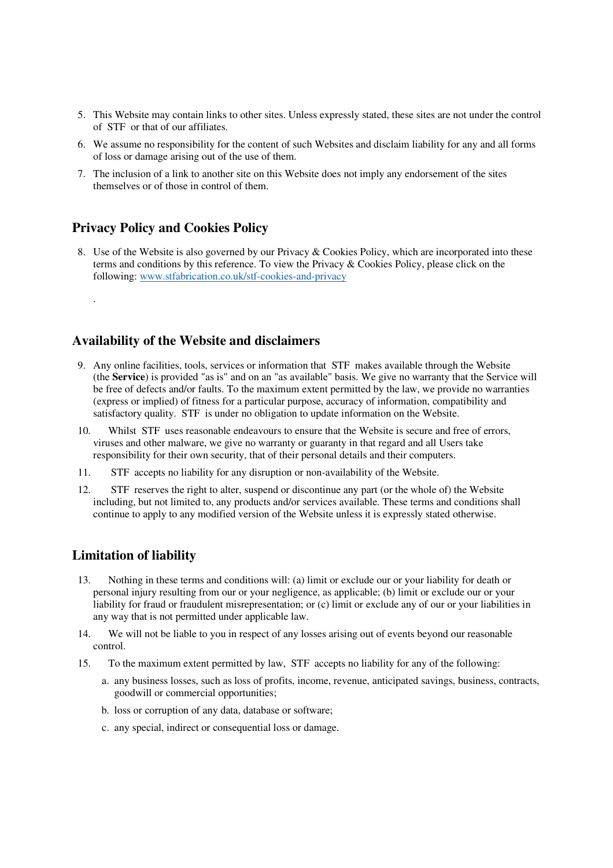- 5. This Website may contain links to other sites. Unless expressly stated, these sites are not under the control of STF or that of our affiliates.
- 6. We assume no responsibility for the content of such Websites and disclaim liability for any and all forms of loss or damage arising out of the use of them.
- 7. The inclusion of a link to another site on this Website does not imply any endorsement of the sites themselves or of those in control of them.

## **Privacy Policy and Cookies Policy**

.

8. Use of the Website is also governed by our Privacy & Cookies Policy, which are incorporated into these terms and conditions by this reference. To view the Privacy & Cookies Policy, please click on the following: www.stfabrication.co.uk/stf-cookies-and-privacy

## **Availability of the Website and disclaimers**

- 9. Any online facilities, tools, services or information that STF makes available through the Website (the **Service**) is provided "as is" and on an "as available" basis. We give no warranty that the Service will be free of defects and/or faults. To the maximum extent permitted by the law, we provide no warranties (express or implied) of fitness for a particular purpose, accuracy of information, compatibility and satisfactory quality. STF is under no obligation to update information on the Website.
- 10. Whilst STF uses reasonable endeavours to ensure that the Website is secure and free of errors, viruses and other malware, we give no warranty or guaranty in that regard and all Users take responsibility for their own security, that of their personal details and their computers.
- 11. STF accepts no liability for any disruption or non-availability of the Website.
- 12. STF reserves the right to alter, suspend or discontinue any part (or the whole of) the Website including, but not limited to, any products and/or services available. These terms and conditions shall continue to apply to any modified version of the Website unless it is expressly stated otherwise.

## **Limitation of liability**

- 13. Nothing in these terms and conditions will: (a) limit or exclude our or your liability for death or personal injury resulting from our or your negligence, as applicable; (b) limit or exclude our or your liability for fraud or fraudulent misrepresentation; or (c) limit or exclude any of our or your liabilities in any way that is not permitted under applicable law.
- 14. We will not be liable to you in respect of any losses arising out of events beyond our reasonable control.
- 15. To the maximum extent permitted by law, STF accepts no liability for any of the following:
	- a. any business losses, such as loss of profits, income, revenue, anticipated savings, business, contracts, goodwill or commercial opportunities;
	- b. loss or corruption of any data, database or software;
	- c. any special, indirect or consequential loss or damage.